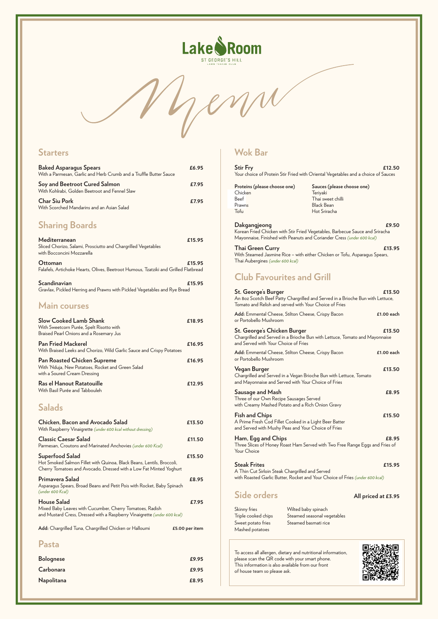

## **Starters**

| <b>Baked Asparagus Spears</b><br>With a Parmesan, Garlic and Herb Crumb and a Truffle Butter Sauce | £6.95 |
|----------------------------------------------------------------------------------------------------|-------|
| Soy and Beetroot Cured Salmon<br>With Kohlrabi, Golden Beetroot and Fennel Slaw                    | £7.95 |
| <b>Char Siu Pork</b><br>With Scorched Mandarins and an Asian Salad                                 | £7.95 |

## **Sharing Boards**

| Mediterranean<br>Sliced Chorizo, Salami, Prosciutto and Chargrilled Vegetables<br>with Bocconcini Mozzarella | £15.95 |
|--------------------------------------------------------------------------------------------------------------|--------|
| <b>Ottoman</b><br>Falafels, Artichoke Hearts, Olives, Beetroot Humous, Tzatziki and Grilled Flatbread        | £15.95 |
| Scandinavian<br>Gravlax, Pickled Herring and Prawns with Pickled Vegetables and Rye Bread                    | £15.95 |

#### **Main courses**

| <b>Slow Cooked Lamb Shank</b><br>With Sweetcorn Purée, Spelt Risotto with<br>Braised Pearl Onions and a Rosemary Jus    | £18.95 |
|-------------------------------------------------------------------------------------------------------------------------|--------|
| <b>Pan Fried Mackerel</b><br>With Braised Leeks and Chorizo, Wild Garlic Sauce and Crispy Potatoes                      | £16.95 |
| <b>Pan Roasted Chicken Supreme</b><br>With 'Nduja, New Potatoes, Rocket and Green Salad<br>with a Soured Cream Dressing | £16.95 |
| Ras el Hanout Ratatouille<br>With Basil Purée and Tabbouleh                                                             | £12.95 |
| <b>Salads</b>                                                                                                           |        |
| Chicken, Bacon and Avocado Salad<br>With Raspberry Vinaigrette (under 600 kcal without dressing)                        | £13.50 |
| <b>Classic Caesar Salad</b><br>Parmesan, Croutons and Marinated Anchovies (under 600 Kcal)                              | £11.50 |
| Superfood Salad<br>Hot Smoked Salmon Fillet with Quinoa, Black Beans, Lentils, Broccoli,                                | £15.50 |

**Dakgangjeong 2018** Korean Fried Chicken with Stir Fried Vegetables, Barbecue Sauce and Sriracha Mayonnaise, Finished with Peanuts and Coriander Cress *(under 600 kcal)*

Cherry Tomatoes and Avocado, Dressed with a Low Fat Minted Yoghurt

#### **Primavera Salad £8.95**

Asparagus Spears, Broad Beans and Petit Pois with Rocket, Baby Spinach *(under 600 Kcal)*

#### **House Salad £7.95**

Mixed Baby Leaves with Cucumber, Cherry Tomatoes, Radish and Mustard Cress, Dressed with a Raspberry Vinaigrette *(under 600 kcal)*

**Add:** Chargrilled Tuna, Chargrilled Chicken or Halloumi **£5.00 per item**

### **Pasta**

**Bolognese £9.95 Carbonara £9.95**

**Napolitana £8.95**

## **Wok Bar**

| <b>Stir Fry</b>                                                                   | £12.50 |
|-----------------------------------------------------------------------------------|--------|
| Your choice of Protein Stir Fried with Oriental Vegetables and a choice of Sauces |        |

| Thai Green Curry                                                           | £13.95 |
|----------------------------------------------------------------------------|--------|
| With Steamed Jasmine Rice – with either Chicken or Tofu, Asparagus Spears, |        |
| Thai Aubergines (under 600 kcal)                                           |        |

## **Club Favourites and Grill**

| St. George's Burger<br>An 80z Scotch Beef Patty Chargrilled and Served in a Brioche Bun with Lettuce,<br>Tomato and Relish and served with Your Choice of Fries | £13.50       |
|-----------------------------------------------------------------------------------------------------------------------------------------------------------------|--------------|
| Add: Emmental Cheese, Stilton Cheese, Crispy Bacon<br>or Portobello Mushroom                                                                                    | $£1.00$ each |
| St. George's Chicken Burger<br>Chargrilled and Served in a Brioche Bun with Lettuce, Tomato and Mayonnaise<br>and Served with Your Choice of Fries              | £13.50       |
| Add: Emmental Cheese, Stilton Cheese, Crispy Bacon<br>or Portobello Mushroom                                                                                    | $£1.00$ each |
| Vegan Burger<br>Chargrilled and Served in a Vegan Brioche Bun with Lettuce, Tomato<br>and Mayonnaise and Served with Your Choice of Fries                       | £13.50       |
| Sausage and Mash<br>Three of our Own Recipe Sausages Served<br>with Creamy Mashed Potato and a Rich Onion Gravy                                                 | £8.95        |
| <b>Fish and Chips</b><br>A Prime Fresh Cod Fillet Cooked in a Light Beer Batter<br>and Served with Mushy Peas and Your Choice of Fries                          | £15.50       |
| Ham, Egg and Chips<br>Three Slices of Honey Roast Ham Served with Two Free Range Eggs and Fries of<br>Your Choice                                               | £8.95        |
| <b>Steak Frites</b>                                                                                                                                             | £15.95       |

| Proteins (please choose one) | Sauces (please choose one) |  |
|------------------------------|----------------------------|--|
| Chicken                      | Teriyaki                   |  |
| Beef                         | Thai sweet chilli          |  |
| Prawns                       | Black Bean                 |  |
| Tofu                         | Hot Sriracha               |  |
|                              |                            |  |

A Thin Cut Sirloin Steak Chargrilled and Served with Roasted Garlic Butter, Rocket and Your Choice of Fries *(under 600 kcal)*

### Side orders **All priced at £3.95**

Skinny fries Triple cooked chips Sweet potato fries Mashed potatoes

To access all allergen, dietary and nutritional information, please scan the QR code with your smart phone. This information is also available from our front of house team so please ask.



Wilted baby spinach Steamed seasonal vegetables Steamed basmati rice